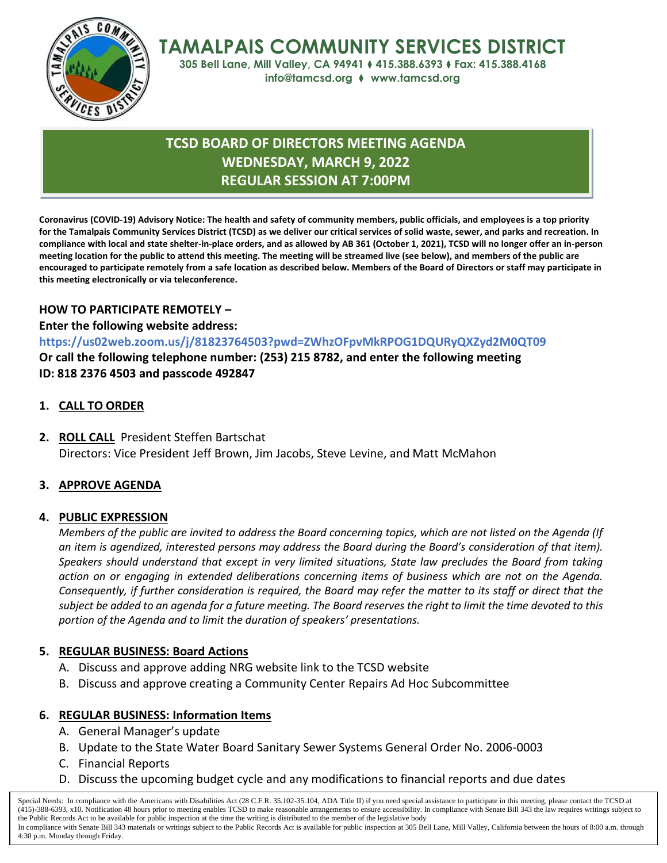

**TAMALPAIS COMMUNITY SERVICES DISTRICT**

**305 Bell Lane, Mill Valley, CA 94941** ⧫ **415.388.6393** ⧫ **Fax: 415.388.4168 info@tamcsd.org** ⧫ **www.tamcsd.org**

# **TCSD BOARD OF DIRECTORS MEETING AGENDA WEDNESDAY, MARCH 9, 2022 REGULAR SESSION AT 7:00PM**

**Coronavirus (COVID-19) Advisory Notice: The health and safety of community members, public officials, and employees is a top priority for the Tamalpais Community Services District (TCSD) as we deliver our critical services of solid waste, sewer, and parks and recreation. In compliance with local and state shelter-in-place orders, and as allowed by AB 361 (October 1, 2021), TCSD will no longer offer an in-person meeting location for the public to attend this meeting. The meeting will be streamed live (see below), and members of the public are encouraged to participate remotely from a safe location as described below. Members of the Board of Directors or staff may participate in this meeting electronically or via teleconference.**

### **HOW TO PARTICIPATE REMOTELY –**

**Enter the following website address:**

### **<https://us02web.zoom.us/j/81823764503?pwd=ZWhzOFpvMkRPOG1DQURyQXZyd2M0QT09>**

**Or call the following telephone number: (253) 215 8782, and enter the following meeting ID: 818 2376 4503 and passcode 492847**

## **1. CALL TO ORDER**

**2. ROLL CALL** President Steffen Bartschat Directors: Vice President Jeff Brown, Jim Jacobs, Steve Levine, and Matt McMahon

## **3. APPROVE AGENDA**

### **4. PUBLIC EXPRESSION**

*Members of the public are invited to address the Board concerning topics, which are not listed on the Agenda (If an item is agendized, interested persons may address the Board during the Board's consideration of that item). Speakers should understand that except in very limited situations, State law precludes the Board from taking action on or engaging in extended deliberations concerning items of business which are not on the Agenda. Consequently, if further consideration is required, the Board may refer the matter to its staff or direct that the subject be added to an agenda for a future meeting. The Board reserves the right to limit the time devoted to this portion of the Agenda and to limit the duration of speakers' presentations.*

### **5. REGULAR BUSINESS: Board Actions**

- A. Discuss and approve adding NRG website link to the TCSD website
- B. Discuss and approve creating a Community Center Repairs Ad Hoc Subcommittee

### **6. REGULAR BUSINESS: Information Items**

- A. General Manager's update
- B. Update to the State Water Board Sanitary Sewer Systems General Order No. 2006-0003
- C. Financial Reports
- D. Discuss the upcoming budget cycle and any modifications to financial reports and due dates

Special Needs: In compliance with the Americans with Disabilities Act (28 C.F.R. 35.102-35.104, ADA Title II) if you need special assistance to participate in this meeting, please contact the TCSD at (415)-388-6393, x10. Notification 48 hours prior to meeting enables TCSD to make reasonable arrangements to ensure accessibility. In compliance with Senate Bill 343 the law requires writings subject to the Public Records Act to be available for public inspection at the time the writing is distributed to the member of the legislative body In compliance with Senate Bill 343 materials or writings subject to the Public Records Act is available for public inspection at 305 Bell Lane, Mill Valley, California between the hours of 8:00 a.m. through 4:30 p.m. Monday through Friday.